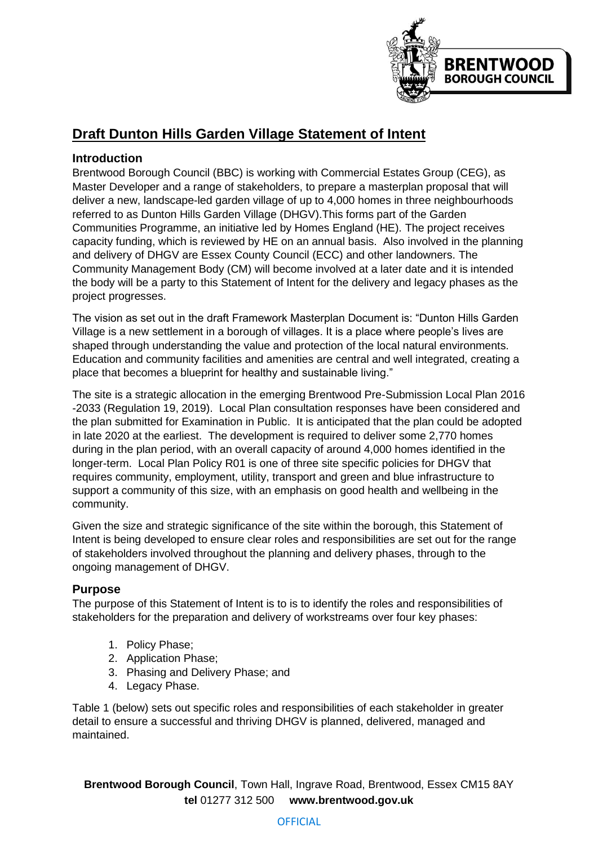

## **Draft Dunton Hills Garden Village Statement of Intent**

### **Introduction**

Brentwood Borough Council (BBC) is working with Commercial Estates Group (CEG), as Master Developer and a range of stakeholders, to prepare a masterplan proposal that will deliver a new, landscape-led garden village of up to 4,000 homes in three neighbourhoods referred to as Dunton Hills Garden Village (DHGV).This forms part of the Garden Communities Programme, an initiative led by Homes England (HE). The project receives capacity funding, which is reviewed by HE on an annual basis. Also involved in the planning and delivery of DHGV are Essex County Council (ECC) and other landowners. The Community Management Body (CM) will become involved at a later date and it is intended the body will be a party to this Statement of Intent for the delivery and legacy phases as the project progresses.

The vision as set out in the draft Framework Masterplan Document is: "Dunton Hills Garden Village is a new settlement in a borough of villages. It is a place where people's lives are shaped through understanding the value and protection of the local natural environments. Education and community facilities and amenities are central and well integrated, creating a place that becomes a blueprint for healthy and sustainable living."

The site is a strategic allocation in the emerging Brentwood Pre-Submission Local Plan 2016 -2033 (Regulation 19, 2019). Local Plan consultation responses have been considered and the plan submitted for Examination in Public. It is anticipated that the plan could be adopted in late 2020 at the earliest. The development is required to deliver some 2,770 homes during in the plan period, with an overall capacity of around 4,000 homes identified in the longer-term. Local Plan Policy R01 is one of three site specific policies for DHGV that requires community, employment, utility, transport and green and blue infrastructure to support a community of this size, with an emphasis on good health and wellbeing in the community.

Given the size and strategic significance of the site within the borough, this Statement of Intent is being developed to ensure clear roles and responsibilities are set out for the range of stakeholders involved throughout the planning and delivery phases, through to the ongoing management of DHGV.

### **Purpose**

The purpose of this Statement of Intent is to is to identify the roles and responsibilities of stakeholders for the preparation and delivery of workstreams over four key phases:

- 1. Policy Phase;
- 2. Application Phase;
- 3. Phasing and Delivery Phase; and
- 4. Legacy Phase.

Table 1 (below) sets out specific roles and responsibilities of each stakeholder in greater detail to ensure a successful and thriving DHGV is planned, delivered, managed and maintained.

**Brentwood Borough Council**, Town Hall, Ingrave Road, Brentwood, Essex CM15 8AY **tel** 01277 312 500 **www.brentwood.gov.uk**

#### **OFFICIAL**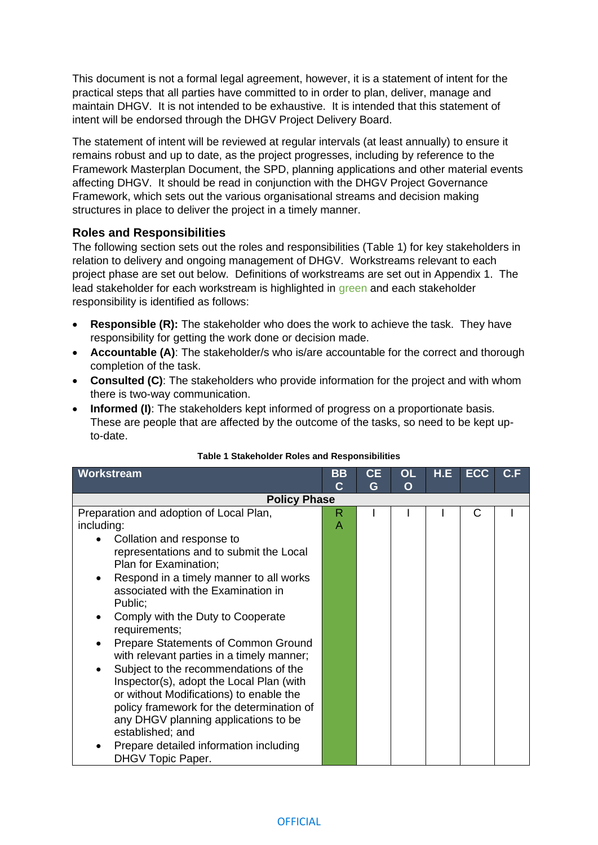This document is not a formal legal agreement, however, it is a statement of intent for the practical steps that all parties have committed to in order to plan, deliver, manage and maintain DHGV. It is not intended to be exhaustive. It is intended that this statement of intent will be endorsed through the DHGV Project Delivery Board.

The statement of intent will be reviewed at regular intervals (at least annually) to ensure it remains robust and up to date, as the project progresses, including by reference to the Framework Masterplan Document, the SPD, planning applications and other material events affecting DHGV. It should be read in conjunction with the DHGV Project Governance Framework, which sets out the various organisational streams and decision making structures in place to deliver the project in a timely manner.

#### **Roles and Responsibilities**

The following section sets out the roles and responsibilities (Table 1) for key stakeholders in relation to delivery and ongoing management of DHGV. Workstreams relevant to each project phase are set out below. Definitions of workstreams are set out in Appendix 1. The lead stakeholder for each workstream is highlighted in green and each stakeholder responsibility is identified as follows:

- **Responsible (R):** The stakeholder who does the work to achieve the task. They have responsibility for getting the work done or decision made.
- **Accountable (A)**: The stakeholder/s who is/are accountable for the correct and thorough completion of the task.
- **Consulted (C)**: The stakeholders who provide information for the project and with whom there is two-way communication.
- **Informed (I)**: The stakeholders kept informed of progress on a proportionate basis. These are people that are affected by the outcome of the tasks, so need to be kept upto-date.

| Workstream                                                                                                                                                                                                                                                                                                                                                                                                                                                                                                                                                                                                                                                                           | <b>BB</b> | <b>CE</b> | <b>OL</b> | H.E. | <b>ECC</b> | C.F |
|--------------------------------------------------------------------------------------------------------------------------------------------------------------------------------------------------------------------------------------------------------------------------------------------------------------------------------------------------------------------------------------------------------------------------------------------------------------------------------------------------------------------------------------------------------------------------------------------------------------------------------------------------------------------------------------|-----------|-----------|-----------|------|------------|-----|
|                                                                                                                                                                                                                                                                                                                                                                                                                                                                                                                                                                                                                                                                                      | C         | G         | O         |      |            |     |
| <b>Policy Phase</b>                                                                                                                                                                                                                                                                                                                                                                                                                                                                                                                                                                                                                                                                  |           |           |           |      |            |     |
| Preparation and adoption of Local Plan,<br>including:<br>Collation and response to<br>representations and to submit the Local<br>Plan for Examination;<br>Respond in a timely manner to all works<br>associated with the Examination in<br>Public;<br>Comply with the Duty to Cooperate<br>٠<br>requirements;<br>Prepare Statements of Common Ground<br>with relevant parties in a timely manner;<br>Subject to the recommendations of the<br>Inspector(s), adopt the Local Plan (with<br>or without Modifications) to enable the<br>policy framework for the determination of<br>any DHGV planning applications to be<br>established; and<br>Prepare detailed information including | R<br>A    |           |           |      | С          |     |
| DHGV Topic Paper.                                                                                                                                                                                                                                                                                                                                                                                                                                                                                                                                                                                                                                                                    |           |           |           |      |            |     |

#### **Table 1 Stakeholder Roles and Responsibilities**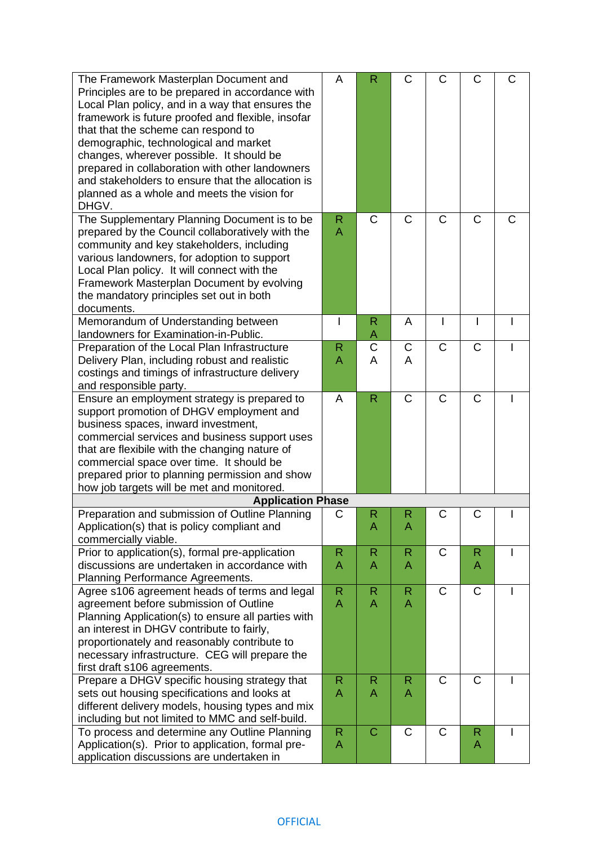| The Framework Masterplan Document and<br>Principles are to be prepared in accordance with<br>Local Plan policy, and in a way that ensures the<br>framework is future proofed and flexible, insofar<br>that that the scheme can respond to<br>demographic, technological and market<br>changes, wherever possible. It should be<br>prepared in collaboration with other landowners<br>and stakeholders to ensure that the allocation is<br>planned as a whole and meets the vision for<br>DHGV. | A                              | R                 | C                 | C            | С                 | С |
|------------------------------------------------------------------------------------------------------------------------------------------------------------------------------------------------------------------------------------------------------------------------------------------------------------------------------------------------------------------------------------------------------------------------------------------------------------------------------------------------|--------------------------------|-------------------|-------------------|--------------|-------------------|---|
| The Supplementary Planning Document is to be<br>prepared by the Council collaboratively with the<br>community and key stakeholders, including<br>various landowners, for adoption to support<br>Local Plan policy. It will connect with the<br>Framework Masterplan Document by evolving<br>the mandatory principles set out in both<br>documents.                                                                                                                                             | $\mathsf{R}$<br>$\overline{A}$ | C                 | $\mathsf{C}$      | $\mathsf{C}$ | $\mathsf{C}$      | C |
| Memorandum of Understanding between<br>landowners for Examination-in-Public.                                                                                                                                                                                                                                                                                                                                                                                                                   | $\mathsf{l}$                   | $\mathsf{R}$<br>Α | A                 | I            | L                 |   |
| Preparation of the Local Plan Infrastructure                                                                                                                                                                                                                                                                                                                                                                                                                                                   | $\mathsf{R}$                   | C                 | $\mathsf C$       | $\mathsf{C}$ | $\mathsf{C}$      |   |
| Delivery Plan, including robust and realistic<br>costings and timings of infrastructure delivery<br>and responsible party.                                                                                                                                                                                                                                                                                                                                                                     | A                              | A                 | A                 |              |                   |   |
| Ensure an employment strategy is prepared to<br>support promotion of DHGV employment and<br>business spaces, inward investment,<br>commercial services and business support uses<br>that are flexibile with the changing nature of<br>commercial space over time. It should be<br>prepared prior to planning permission and show<br>how job targets will be met and monitored.                                                                                                                 | A                              | R                 | $\mathsf{C}$      | $\mathsf{C}$ | $\mathsf{C}$      |   |
| <b>Application Phase</b>                                                                                                                                                                                                                                                                                                                                                                                                                                                                       |                                |                   |                   |              |                   |   |
| Preparation and submission of Outline Planning<br>Application(s) that is policy compliant and<br>commercially viable.                                                                                                                                                                                                                                                                                                                                                                          | C                              | R<br>Α            | R<br>Α            | C            | С                 |   |
| Prior to application(s), formal pre-application<br>discussions are undertaken in accordance with<br>Planning Performance Agreements.                                                                                                                                                                                                                                                                                                                                                           | $\mathsf{R}$<br>A              | $\mathsf R$<br>A  | $\mathsf{R}$<br>A | $\mathsf{C}$ | $\mathsf{R}$<br>A |   |
| Agree s106 agreement heads of terms and legal<br>agreement before submission of Outline<br>Planning Application(s) to ensure all parties with<br>an interest in DHGV contribute to fairly,<br>proportionately and reasonably contribute to<br>necessary infrastructure. CEG will prepare the<br>first draft s106 agreements.                                                                                                                                                                   | $\mathsf{R}$<br>A              | R<br>A            | R<br>A            | $\mathsf{C}$ | $\mathsf C$       |   |
| Prepare a DHGV specific housing strategy that<br>sets out housing specifications and looks at<br>different delivery models, housing types and mix<br>including but not limited to MMC and self-build.                                                                                                                                                                                                                                                                                          | $\mathsf{R}$<br>A              | R<br>A            | R<br>A            | $\mathsf{C}$ | $\mathsf C$       |   |
| To process and determine any Outline Planning<br>Application(s). Prior to application, formal pre-<br>application discussions are undertaken in                                                                                                                                                                                                                                                                                                                                                | $\mathsf{R}$<br>A              | C                 | $\mathsf{C}$      | $\mathsf{C}$ | $\mathsf{R}$<br>A |   |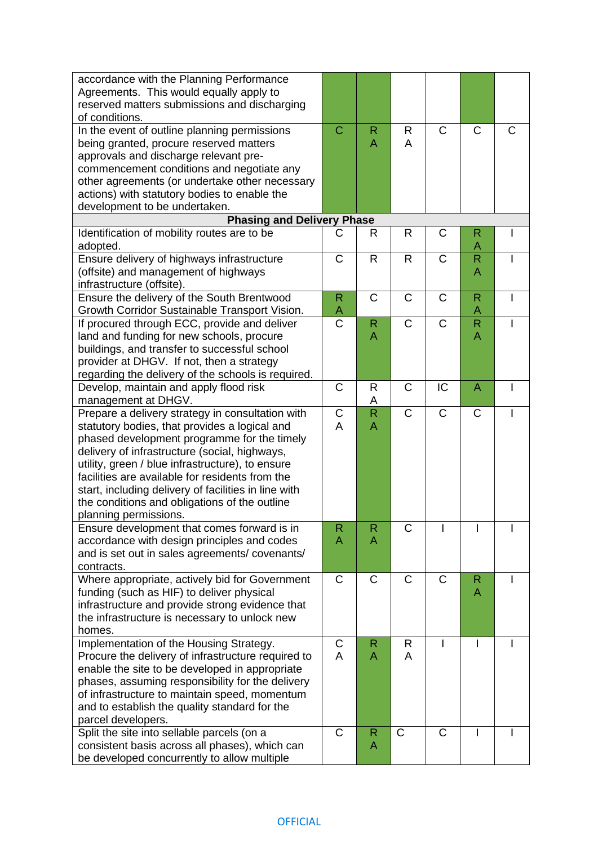| accordance with the Planning Performance<br>Agreements. This would equally apply to<br>reserved matters submissions and discharging |                  |                   |                       |              |                |   |
|-------------------------------------------------------------------------------------------------------------------------------------|------------------|-------------------|-----------------------|--------------|----------------|---|
| of conditions.                                                                                                                      |                  |                   |                       |              |                |   |
| In the event of outline planning permissions                                                                                        | $\mathbf C$      | $\mathsf{R}$      | R                     | C            | $\mathsf C$    | C |
| being granted, procure reserved matters                                                                                             |                  | A                 | A                     |              |                |   |
| approvals and discharge relevant pre-                                                                                               |                  |                   |                       |              |                |   |
| commencement conditions and negotiate any                                                                                           |                  |                   |                       |              |                |   |
| other agreements (or undertake other necessary                                                                                      |                  |                   |                       |              |                |   |
| actions) with statutory bodies to enable the                                                                                        |                  |                   |                       |              |                |   |
| development to be undertaken.                                                                                                       |                  |                   |                       |              |                |   |
| <b>Phasing and Delivery Phase</b>                                                                                                   |                  |                   |                       |              |                |   |
| Identification of mobility routes are to be                                                                                         | C                | R                 | $\mathsf{R}$          | C            | R              |   |
| adopted.                                                                                                                            |                  |                   |                       |              | Α              |   |
| Ensure delivery of highways infrastructure                                                                                          | $\mathsf{C}$     | $\mathsf{R}$      | R                     | $\mathsf{C}$ | $\mathsf{R}$   |   |
| (offsite) and management of highways                                                                                                |                  |                   |                       |              | A              |   |
| infrastructure (offsite).                                                                                                           |                  |                   |                       |              |                |   |
| Ensure the delivery of the South Brentwood                                                                                          | $\mathsf{R}$     | $\mathsf{C}$      | $\mathsf{C}$          | C            | $\mathsf{R}$   | ı |
| Growth Corridor Sustainable Transport Vision.                                                                                       | A                |                   |                       |              | A              |   |
| If procured through ECC, provide and deliver                                                                                        | C                | R                 | $\mathsf{C}$          | $\mathsf{C}$ | $\mathsf{R}$   |   |
| land and funding for new schools, procure                                                                                           |                  | A                 |                       |              | A              |   |
| buildings, and transfer to successful school                                                                                        |                  |                   |                       |              |                |   |
| provider at DHGV. If not, then a strategy                                                                                           |                  |                   |                       |              |                |   |
| regarding the delivery of the schools is required.                                                                                  |                  |                   |                       |              |                |   |
| Develop, maintain and apply flood risk                                                                                              | C                | R                 | C                     | IC           | $\overline{A}$ |   |
| management at DHGV.                                                                                                                 |                  | A                 | $\mathsf{C}$          | $\mathsf{C}$ |                |   |
| Prepare a delivery strategy in consultation with                                                                                    | $\mathsf C$<br>A | $\mathsf{R}$<br>A |                       |              | $\mathsf C$    |   |
| statutory bodies, that provides a logical and                                                                                       |                  |                   |                       |              |                |   |
| phased development programme for the timely<br>delivery of infrastructure (social, highways,                                        |                  |                   |                       |              |                |   |
| utility, green / blue infrastructure), to ensure                                                                                    |                  |                   |                       |              |                |   |
| facilities are available for residents from the                                                                                     |                  |                   |                       |              |                |   |
| start, including delivery of facilities in line with                                                                                |                  |                   |                       |              |                |   |
| the conditions and obligations of the outline                                                                                       |                  |                   |                       |              |                |   |
| planning permissions.                                                                                                               |                  |                   |                       |              |                |   |
| Ensure development that comes forward is in                                                                                         | $\mathsf{R}$     | R                 | $\overline{\text{C}}$ |              |                |   |
| accordance with design principles and codes                                                                                         | A                | A                 |                       |              |                |   |
| and is set out in sales agreements/ covenants/                                                                                      |                  |                   |                       |              |                |   |
| contracts.                                                                                                                          |                  |                   |                       |              |                |   |
| Where appropriate, actively bid for Government                                                                                      | C                | C                 | C                     | C            | $\mathsf{R}$   |   |
| funding (such as HIF) to deliver physical                                                                                           |                  |                   |                       |              | A              |   |
| infrastructure and provide strong evidence that                                                                                     |                  |                   |                       |              |                |   |
| the infrastructure is necessary to unlock new                                                                                       |                  |                   |                       |              |                |   |
| homes.                                                                                                                              |                  |                   |                       |              |                |   |
| Implementation of the Housing Strategy.                                                                                             | C                | R                 | R                     |              |                |   |
| Procure the delivery of infrastructure required to                                                                                  | $\overline{A}$   | A                 | A                     |              |                |   |
| enable the site to be developed in appropriate                                                                                      |                  |                   |                       |              |                |   |
| phases, assuming responsibility for the delivery                                                                                    |                  |                   |                       |              |                |   |
| of infrastructure to maintain speed, momentum                                                                                       |                  |                   |                       |              |                |   |
| and to establish the quality standard for the                                                                                       |                  |                   |                       |              |                |   |
| parcel developers.                                                                                                                  |                  |                   |                       |              |                |   |
| Split the site into sellable parcels (on a                                                                                          | $\mathsf C$      | R                 | $\mathsf{C}$          | C            | I              |   |
| consistent basis across all phases), which can                                                                                      |                  | A                 |                       |              |                |   |
| be developed concurrently to allow multiple                                                                                         |                  |                   |                       |              |                |   |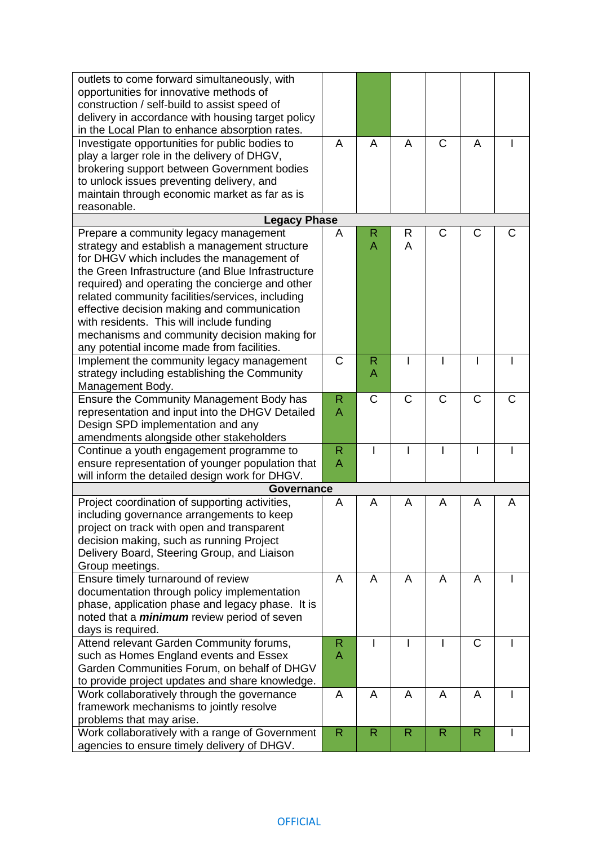| outlets to come forward simultaneously, with                                                   |              |              |                |              |              |   |
|------------------------------------------------------------------------------------------------|--------------|--------------|----------------|--------------|--------------|---|
| opportunities for innovative methods of                                                        |              |              |                |              |              |   |
| construction / self-build to assist speed of                                                   |              |              |                |              |              |   |
| delivery in accordance with housing target policy                                              |              |              |                |              |              |   |
| in the Local Plan to enhance absorption rates.                                                 |              |              |                |              |              |   |
| Investigate opportunities for public bodies to                                                 | A            | A            | $\overline{A}$ | $\mathsf{C}$ | A            |   |
| play a larger role in the delivery of DHGV,                                                    |              |              |                |              |              |   |
| brokering support between Government bodies                                                    |              |              |                |              |              |   |
| to unlock issues preventing delivery, and                                                      |              |              |                |              |              |   |
| maintain through economic market as far as is                                                  |              |              |                |              |              |   |
| reasonable.                                                                                    |              |              |                |              |              |   |
| <b>Legacy Phase</b>                                                                            |              |              |                |              |              |   |
| Prepare a community legacy management                                                          | A            | R            | R              | $\mathsf{C}$ | C            | С |
| strategy and establish a management structure                                                  |              | A            | A              |              |              |   |
| for DHGV which includes the management of                                                      |              |              |                |              |              |   |
| the Green Infrastructure (and Blue Infrastructure                                              |              |              |                |              |              |   |
| required) and operating the concierge and other                                                |              |              |                |              |              |   |
| related community facilities/services, including                                               |              |              |                |              |              |   |
| effective decision making and communication                                                    |              |              |                |              |              |   |
| with residents. This will include funding                                                      |              |              |                |              |              |   |
| mechanisms and community decision making for                                                   |              |              |                |              |              |   |
| any potential income made from facilities.                                                     |              |              |                |              |              |   |
| Implement the community legacy management                                                      | $\mathsf C$  | R            |                |              |              |   |
| strategy including establishing the Community                                                  |              | A            |                |              |              |   |
| Management Body.                                                                               |              |              |                |              |              |   |
| Ensure the Community Management Body has                                                       | $\mathsf{R}$ | C            | $\mathsf C$    | $\mathsf{C}$ | C            | C |
| representation and input into the DHGV Detailed                                                | A            |              |                |              |              |   |
| Design SPD implementation and any                                                              |              |              |                |              |              |   |
| amendments alongside other stakeholders                                                        |              |              |                |              |              |   |
| Continue a youth engagement programme to                                                       | $\mathsf{R}$ |              |                |              |              |   |
| ensure representation of younger population that                                               | A            |              |                |              |              |   |
| will inform the detailed design work for DHGV.                                                 |              |              |                |              |              |   |
| <b>Governance</b>                                                                              |              |              |                |              |              |   |
| Project coordination of supporting activities,                                                 | A            | A            | A              | A            | A            | A |
| including governance arrangements to keep                                                      |              |              |                |              |              |   |
| project on track with open and transparent                                                     |              |              |                |              |              |   |
| decision making, such as running Project                                                       |              |              |                |              |              |   |
| Delivery Board, Steering Group, and Liaison                                                    |              |              |                |              |              |   |
| Group meetings.                                                                                |              |              |                |              |              |   |
| Ensure timely turnaround of review                                                             | A            | A            | A              | A            | A            |   |
| documentation through policy implementation                                                    |              |              |                |              |              |   |
| phase, application phase and legacy phase. It is                                               |              |              |                |              |              |   |
| noted that a <i>minimum</i> review period of seven                                             |              |              |                |              |              |   |
| days is required.                                                                              | $\mathsf{R}$ |              |                |              | $\mathsf C$  |   |
| Attend relevant Garden Community forums,                                                       | $\mathsf{A}$ |              |                |              |              |   |
| such as Homes England events and Essex<br>Garden Communities Forum, on behalf of DHGV          |              |              |                |              |              |   |
|                                                                                                |              |              |                |              |              |   |
| to provide project updates and share knowledge.<br>Work collaboratively through the governance | A            | A            | A              | A            | A            |   |
| framework mechanisms to jointly resolve                                                        |              |              |                |              |              |   |
| problems that may arise.                                                                       |              |              |                |              |              |   |
| Work collaboratively with a range of Government                                                | $\mathsf{R}$ | $\mathsf{R}$ | $\mathsf{R}$   | $\mathsf{R}$ | $\mathsf{R}$ | I |
| agencies to ensure timely delivery of DHGV.                                                    |              |              |                |              |              |   |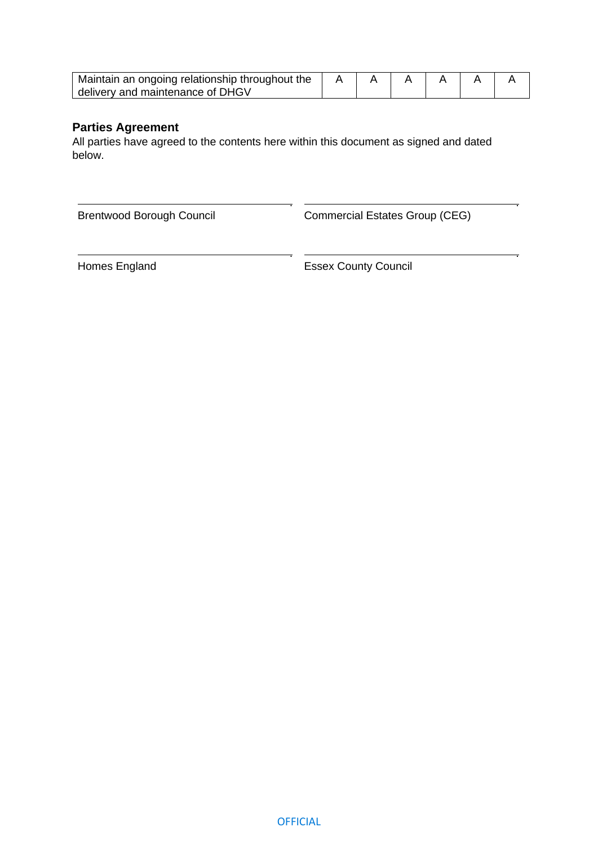| Maintain an ongoing relationship throughout the |  |  |  |  |  |
|-------------------------------------------------|--|--|--|--|--|
| delivery and maintenance of DHGV                |  |  |  |  |  |

### **Parties Agreement**

All parties have agreed to the contents here within this document as signed and dated below.

 . Brentwood Borough Council

.

Commercial Estates Group (CEG)

.

Homes England

 . Essex County Council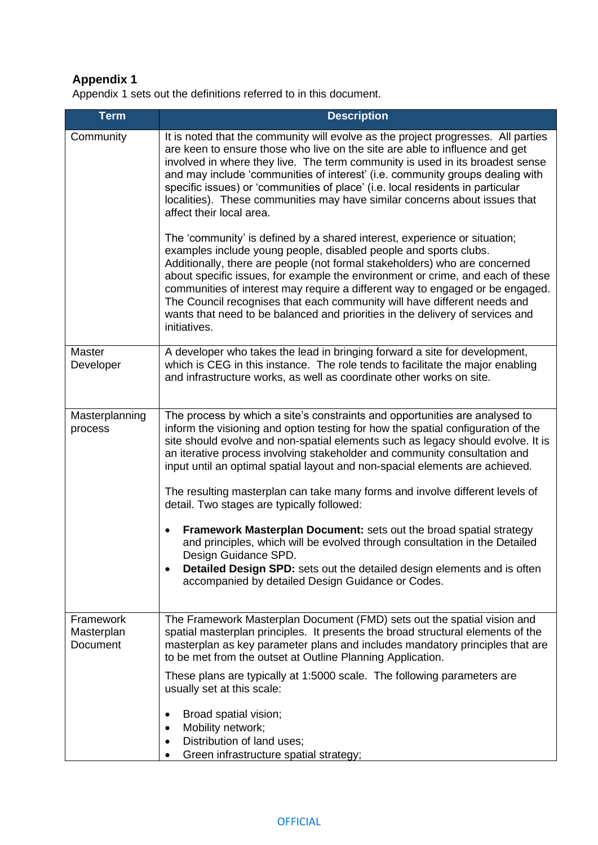# **Appendix 1**

Appendix 1 sets out the definitions referred to in this document.

| <b>Term</b>                         | <b>Description</b>                                                                                                                                                                                                                                                                                                                                                                                                                                                                                                                                                                                                                                                                                                                                                                                                                                                          |
|-------------------------------------|-----------------------------------------------------------------------------------------------------------------------------------------------------------------------------------------------------------------------------------------------------------------------------------------------------------------------------------------------------------------------------------------------------------------------------------------------------------------------------------------------------------------------------------------------------------------------------------------------------------------------------------------------------------------------------------------------------------------------------------------------------------------------------------------------------------------------------------------------------------------------------|
| Community                           | It is noted that the community will evolve as the project progresses. All parties<br>are keen to ensure those who live on the site are able to influence and get<br>involved in where they live. The term community is used in its broadest sense<br>and may include 'communities of interest' (i.e. community groups dealing with<br>specific issues) or 'communities of place' (i.e. local residents in particular<br>localities). These communities may have similar concerns about issues that<br>affect their local area.                                                                                                                                                                                                                                                                                                                                              |
|                                     | The 'community' is defined by a shared interest, experience or situation;<br>examples include young people, disabled people and sports clubs.<br>Additionally, there are people (not formal stakeholders) who are concerned<br>about specific issues, for example the environment or crime, and each of these<br>communities of interest may require a different way to engaged or be engaged.<br>The Council recognises that each community will have different needs and<br>wants that need to be balanced and priorities in the delivery of services and<br>initiatives.                                                                                                                                                                                                                                                                                                 |
| Master<br>Developer                 | A developer who takes the lead in bringing forward a site for development,<br>which is CEG in this instance. The role tends to facilitate the major enabling<br>and infrastructure works, as well as coordinate other works on site.                                                                                                                                                                                                                                                                                                                                                                                                                                                                                                                                                                                                                                        |
| Masterplanning<br>process           | The process by which a site's constraints and opportunities are analysed to<br>inform the visioning and option testing for how the spatial configuration of the<br>site should evolve and non-spatial elements such as legacy should evolve. It is<br>an iterative process involving stakeholder and community consultation and<br>input until an optimal spatial layout and non-spacial elements are achieved.<br>The resulting masterplan can take many forms and involve different levels of<br>detail. Two stages are typically followed:<br>Framework Masterplan Document: sets out the broad spatial strategy<br>$\bullet$<br>and principles, which will be evolved through consultation in the Detailed<br>Design Guidance SPD.<br>Detailed Design SPD: sets out the detailed design elements and is often<br>٠<br>accompanied by detailed Design Guidance or Codes. |
| Framework<br>Masterplan<br>Document | The Framework Masterplan Document (FMD) sets out the spatial vision and<br>spatial masterplan principles. It presents the broad structural elements of the<br>masterplan as key parameter plans and includes mandatory principles that are<br>to be met from the outset at Outline Planning Application.                                                                                                                                                                                                                                                                                                                                                                                                                                                                                                                                                                    |
|                                     | These plans are typically at 1:5000 scale. The following parameters are<br>usually set at this scale:<br>Broad spatial vision;<br>Mobility network;<br>٠<br>Distribution of land uses;<br>Green infrastructure spatial strategy;                                                                                                                                                                                                                                                                                                                                                                                                                                                                                                                                                                                                                                            |